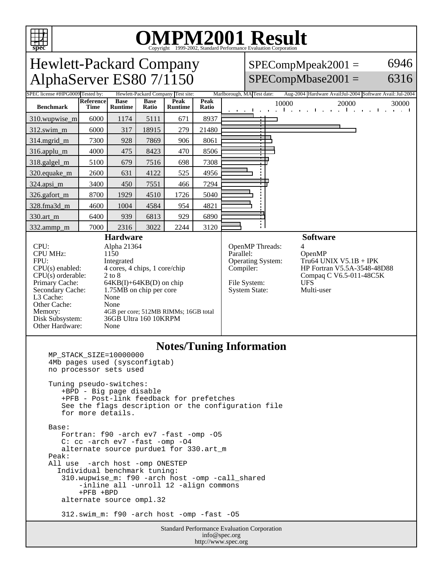

# OMPM2001 Result to Evaluation Corporation

Standard Performance Evaluation Corporation info@spec.org http://www.spec.org Hewlett-Packard Company AlphaServer ES80 7/1150  $SPECompMpeak2001 =$  $SPECompMbase2001 =$ 6946 6316 Tested by: Hewlett-Packard Company Test site: Marlborough, MA Test date: Aug-2004 Hardware AvailJul-2004 Software Avail: Jul-2004 **Benchmark Reference Time Base Runtime Base Ratio Peak Runtime Peak Ratio** 10000 20000 30000 310.wupwise\_m 6000 1174 5111 671 8937 312.swim\_m 6000 317 | 18915 279 | 21480 314.mgrid\_m | 7300 | 928 | 7869 | 906 | 8061 316.applu\_m 4000 475 8423 470 8506 318.galgel\_m | 5100 679 7516 698 7308 320.equake\_m | 2600 | 631 | 4122 | 525 | 4956 324.apsi\_m 3400 450 7551 466 7294 326.gafort\_m | 8700 | 1929 | 4510 | 1726 | 5040 328.fma3d\_m 4600 1004 4584 954 4821 330.art\_m 6400 939 6813 929 6890 332.ammp\_m | 7000 | 2316 | 3022 | 2244 | 3120 **Hardware** CPU: Alpha 21364<br>CPU MHz: 1150 CPU MHz: FPU: Integrated CPU(s) enabled: 4 cores, 4 chips, 1 core/chip CPU(s) orderable: 2 to 8<br>Primary Cache: 64KB Primary Cache: 64KB(I)+64KB(D) on chip<br>Secondary Cache: 1.75MB on chip per core 1.75MB on chip per core L3 Cache: None<br>
Other Cache: None Other Cache: Memory: 4GB per core; 512MB RIMMs; 16GB total<br>Disk Subsystem: 36GB Ultra 160 10KRPM 36GB Ultra 160 10KRPM Other Hardware: None **Software** OpenMP Threads:<br>Parallel: OpenMP Operating System: Tru64 UNIX V5.1B + IPK Compiler: HP Fortran V5.5A-3548-48D88 Compaq C V6.5-011-48C5K File System: UFS<br>System State: Multi-user System State: **Notes/Tuning Information** MP\_STACK\_SIZE=10000000 4Mb pages used (sysconfigtab) no processor sets used Tuning pseudo-switches: +BPD - Big page disable +PFB - Post-link feedback for prefetches See the flags description or the configuration file for more details. Base: Fortran: f90 -arch ev7 -fast -omp -O5 C: cc -arch ev7 -fast -omp -O4 alternate source purdue1 for 330.art\_m Peak: All use -arch host -omp ONESTEP Individual benchmark tuning: 310.wupwise\_m: f90 -arch host -omp -call\_shared -inline all -unroll 12 -align commons +PFB +BPD alternate source ompl.32 312.swim\_m: f90 -arch host -omp -fast -O5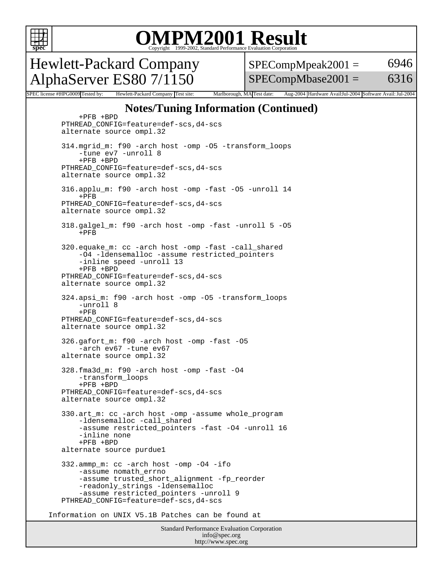

### OMPM2001 Result to Evaluation Corporation

Hewlett-Packard Company AlphaServer ES80 7/1150

 $SPECompMpeak2001 =$  $SPECompMbase2001 =$ 6946 6316

SPEC license #HPG0009 Tested by: Hewlett-Packard Company Test site: Marlborough, MA Test date: Aug-2004 Hardware Avail:Jul-2004 Software Avail: Jul-2004

#### **Notes/Tuning Information (Continued)**

Standard Performance Evaluation Corporation info@spec.org +PFB +BPD PTHREAD\_CONFIG=feature=def-scs,d4-scs alternate source ompl.32 314.mgrid\_m: f90 -arch host -omp -O5 -transform\_loops -tune ev7 -unroll 8 +PFB +BPD PTHREAD\_CONFIG=feature=def-scs,d4-scs alternate source ompl.32 316.applu\_m: f90 -arch host -omp -fast -O5 -unroll 14 +PFB PTHREAD\_CONFIG=feature=def-scs,d4-scs alternate source ompl.32 318.galgel\_m: f90 -arch host -omp -fast -unroll 5 -O5  $+$ PFB 320.equake\_m: cc -arch host -omp -fast -call\_shared -O4 -ldensemalloc -assume restricted\_pointers -inline speed -unroll 13 +PFB +BPD PTHREAD\_CONFIG=feature=def-scs,d4-scs alternate source ompl.32 324.apsi\_m: f90 -arch host -omp -O5 -transform\_loops -unroll 8  $+$ PFB PTHREAD\_CONFIG=feature=def-scs,d4-scs alternate source ompl.32 326.gafort\_m: f90 -arch host -omp -fast -O5 -arch ev67 -tune ev67 alternate source ompl.32 328.fma3d\_m: f90 -arch host -omp -fast -O4 -transform\_loops +PFB +BPD PTHREAD\_CONFIG=feature=def-scs,d4-scs alternate source ompl.32 330.art\_m: cc -arch host -omp -assume whole\_program -ldensemalloc -call\_shared -assume restricted\_pointers -fast -O4 -unroll 16 -inline none +PFB +BPD alternate source purdue1 332.ammp\_m: cc -arch host -omp -O4 -ifo -assume nomath\_errno -assume trusted\_short\_alignment -fp\_reorder -readonly\_strings -ldensemalloc -assume restricted\_pointers -unroll 9 PTHREAD\_CONFIG=feature=def-scs,d4-scs Information on UNIX V5.1B Patches can be found at

http://www.spec.org